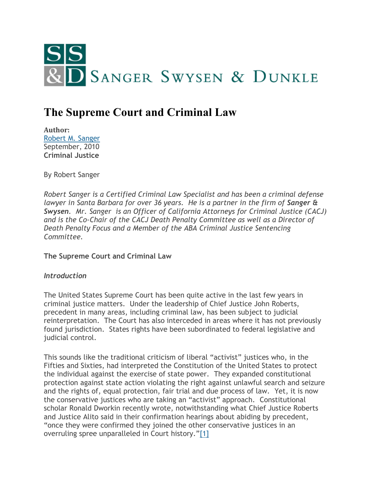

# **The Supreme Court and Criminal Law**

**Author:** [Robert M. Sanger](http://www.sangerswysen.com/robert-m-sanger) September, 2010 **Criminal Justice**

By Robert Sanger

*Robert Sanger is a Certified Criminal Law Specialist and has been a criminal defense lawyer in Santa Barbara for over 36 years. He is a partner in the firm of Sanger & Swysen. Mr. Sanger is an Officer of California Attorneys for Criminal Justice (CACJ) and is the Co-Chair of the CACJ Death Penalty Committee as well as a Director of Death Penalty Focus and a Member of the ABA Criminal Justice Sentencing Committee.*

**The Supreme Court and Criminal Law**

#### *Introduction*

The United States Supreme Court has been quite active in the last few years in criminal justice matters. Under the leadership of Chief Justice John Roberts, precedent in many areas, including criminal law, has been subject to judicial reinterpretation. The Court has also interceded in areas where it has not previously found jurisdiction. States rights have been subordinated to federal legislative and judicial control.

This sounds like the traditional criticism of liberal "activist" justices who, in the Fifties and Sixties, had interpreted the Constitution of the United States to protect the individual against the exercise of state power. They expanded constitutional protection against state action violating the right against unlawful search and seizure and the rights of, equal protection, fair trial and due process of law. Yet, it is now the conservative justices who are taking an "activist" approach. Constitutional scholar Ronald Dworkin recently wrote, notwithstanding what Chief Justice Roberts and Justice Alito said in their confirmation hearings about abiding by precedent, "once they were confirmed they joined the other conservative justices in an overruling spree unparalleled in Court history."[\[1\]](#page-4-0)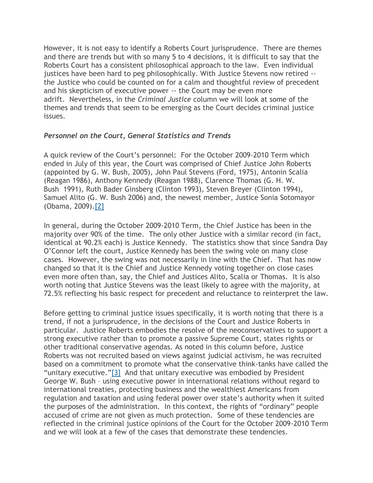However, it is not easy to identify a Roberts Court jurisprudence. There are themes and there are trends but with so many 5 to 4 decisions, it is difficult to say that the Roberts Court has a consistent philosophical approach to the law. Even individual justices have been hard to peg philosophically. With Justice Stevens now retired - the Justice who could be counted on for a calm and thoughtful review of precedent and his skepticism of executive power -- the Court may be even more adrift. Nevertheless, in the *Criminal Justice* column we will look at some of the themes and trends that seem to be emerging as the Court decides criminal justice issues.

#### *Personnel on the Court, General Statistics and Trends*

A quick review of the Court's personnel: For the October 2009-2010 Term which ended in July of this year, the Court was comprised of Chief Justice John Roberts (appointed by G. W. Bush, 2005), John Paul Stevens (Ford, 1975), Antonin Scalia (Reagan 1986), Anthony Kennedy (Reagan 1988), Clarence Thomas (G. H. W. Bush 1991), Ruth Bader Ginsberg (Clinton 1993), Steven Breyer (Clinton 1994), Samuel Alito (G. W. Bush 2006) and, the newest member, Justice Sonia Sotomayor (Obama, 2009)[.\[2\]](#page-4-1)

In general, during the October 2009-2010 Term, the Chief Justice has been in the majority over 90% of the time. The only other Justice with a similar record (in fact, identical at 90.2% each) is Justice Kennedy. The statistics show that since Sandra Day O'Connor left the court, Justice Kennedy has been the swing vole on many close cases. However, the swing was not necessarily in line with the Chief. That has now changed so that it is the Chief and Justice Kennedy voting together on close cases even more often than, say, the Chief and Justices Alito, Scalia or Thomas. It is also worth noting that Justice Stevens was the least likely to agree with the majority, at 72.5% reflecting his basic respect for precedent and reluctance to reinterpret the law.

Before getting to criminal justice issues specifically, it is worth noting that there is a trend, if not a jurisprudence, in the decisions of the Court and Justice Roberts in particular. Justice Roberts embodies the resolve of the neoconservatives to support a strong executive rather than to promote a passive Supreme Court, states rights or other traditional conservative agendas. As noted in this column before, Justice Roberts was not recruited based on views against judicial activism, he was recruited based on a commitment to promote what the conservative think-tanks have called the "unitary executive."[\[3\]](#page-4-2) And that unitary executive was embodied by President George W. Bush – using executive power in international relations without regard to international treaties, protecting business and the wealthiest Americans from regulation and taxation and using federal power over state's authority when it suited the purposes of the administration. In this context, the rights of "ordinary" people accused of crime are not given as much protection. Some of these tendencies are reflected in the criminal justice opinions of the Court for the October 2009-2010 Term and we will look at a few of the cases that demonstrate these tendencies.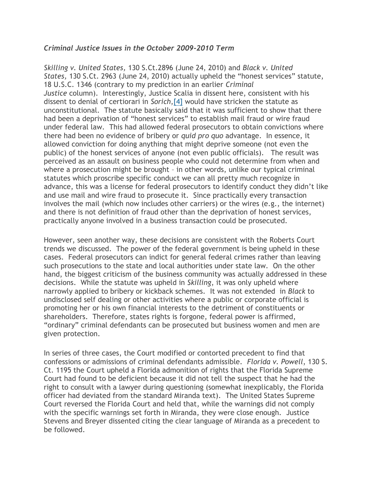### *Criminal Justice Issues in the October 2009-2010 Term*

*Skilling v. United States,* 130 S.Ct.2896 (June 24, 2010) and *Black v. United States,* 130 S.Ct. 2963 (June 24, 2010) actually upheld the "honest services" statute, 18 U.S.C. 1346 (contrary to my prediction in an earlier *Criminal Justice* column). Interestingly, Justice Scalia in dissent here, consistent with his dissent to denial of certiorari in *Sorich*[,\[4\]](#page-5-0) would have stricken the statute as unconstitutional. The statute basically said that it was sufficient to show that there had been a deprivation of "honest services" to establish mail fraud or wire fraud under federal law. This had allowed federal prosecutors to obtain convictions where there had been no evidence of bribery or *quid pro quo* advantage. In essence, it allowed conviction for doing anything that might deprive someone (not even the public) of the honest services of anyone (not even public officials). The result was perceived as an assault on business people who could not determine from when and where a prosecution might be brought – in other words, unlike our typical criminal statutes which proscribe specific conduct we can all pretty much recognize in advance, this was a license for federal prosecutors to identify conduct they didn't like and use mail and wire fraud to prosecute it. Since practically every transaction involves the mail (which now includes other carriers) or the wires (e.g., the internet) and there is not definition of fraud other than the deprivation of honest services, practically anyone involved in a business transaction could be prosecuted.

However, seen another way, these decisions are consistent with the Roberts Court trends we discussed. The power of the federal government is being upheld in these cases. Federal prosecutors can indict for general federal crimes rather than leaving such prosecutions to the state and local authorities under state law. On the other hand, the biggest criticism of the business community was actually addressed in these decisions. While the statute was upheld in *Skilling*, it was only upheld where narrowly applied to bribery or kickback schemes. It was not extended in *Black* to undisclosed self dealing or other activities where a public or corporate official is promoting her or his own financial interests to the detriment of constituents or shareholders. Therefore, states rights is forgone, federal power is affirmed, "ordinary" criminal defendants can be prosecuted but business women and men are given protection.

In series of three cases, the Court modified or contorted precedent to find that confessions or admissions of criminal defendants admissible. *Florida v. Powell*, 130 S. Ct. 1195 the Court upheld a Florida admonition of rights that the Florida Supreme Court had found to be deficient because it did not tell the suspect that he had the right to consult with a lawyer during questioning (somewhat inexplicably, the Florida officer had deviated from the standard Miranda text). The United States Supreme Court reversed the Florida Court and held that, while the warnings did not comply with the specific warnings set forth in Miranda, they were close enough. Justice Stevens and Breyer dissented citing the clear language of Miranda as a precedent to be followed.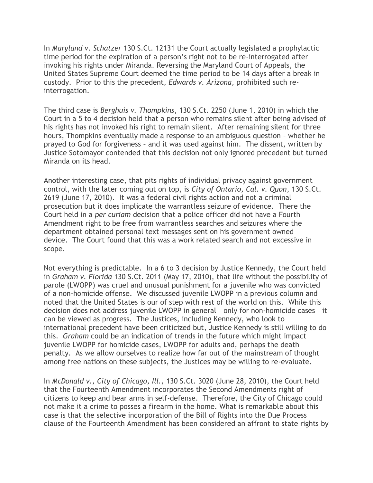In *Maryland v. Schatzer* 130 S.Ct. 12131 the Court actually legislated a prophylactic time period for the expiration of a person's right not to be re-interrogated after invoking his rights under Miranda. Reversing the Maryland Court of Appeals, the United States Supreme Court deemed the time period to be 14 days after a break in custody. Prior to this the precedent, *Edwards v. Arizona*, prohibited such reinterrogation.

The third case is *Berghuis v. Thompkins*, 130 S.Ct. 2250 (June 1, 2010) in which the Court in a 5 to 4 decision held that a person who remains silent after being advised of his rights has not invoked his right to remain silent. After remaining silent for three hours, Thompkins eventually made a response to an ambiguous question – whether he prayed to God for forgiveness – and it was used against him. The dissent, written by Justice Sotomayor contended that this decision not only ignored precedent but turned Miranda on its head.

Another interesting case, that pits rights of individual privacy against government control, with the later coming out on top, is *City of Ontario, Cal. v. Quon*, 130 S.Ct. 2619 (June 17, 2010). It was a federal civil rights action and not a criminal prosecution but it does implicate the warrantless seizure of evidence. There the Court held in a *per curiam* decision that a police officer did not have a Fourth Amendment right to be free from warrantless searches and seizures where the department obtained personal text messages sent on his government owned device. The Court found that this was a work related search and not excessive in scope.

Not everything is predictable. In a 6 to 3 decision by Justice Kennedy, the Court held in *Graham v. Florida* 130 S.Ct. 2011 (May 17, 2010), that life without the possibility of parole (LWOPP) was cruel and unusual punishment for a juvenile who was convicted of a non-homicide offense. We discussed juvenile LWOPP in a previous column and noted that the United States is our of step with rest of the world on this. While this decision does not address juvenile LWOPP in general – only for non-homicide cases – it can be viewed as progress. The Justices, including Kennedy, who look to international precedent have been criticized but, Justice Kennedy is still willing to do this. *Graham* could be an indication of trends in the future which might impact juvenile LWOPP for homicide cases, LWOPP for adults and, perhaps the death penalty. As we allow ourselves to realize how far out of the mainstream of thought among free nations on these subjects, the Justices may be willing to re-evaluate.

In *McDonald v., City of Chicago, Ill.,* 130 S.Ct. 3020 (June 28, 2010), the Court held that the Fourteenth Amendment incorporates the Second Amendments right of citizens to keep and bear arms in self-defense. Therefore, the City of Chicago could not make it a crime to posses a firearm in the home. What is remarkable about this case is that the selective incorporation of the Bill of Rights into the Due Process clause of the Fourteenth Amendment has been considered an affront to state rights by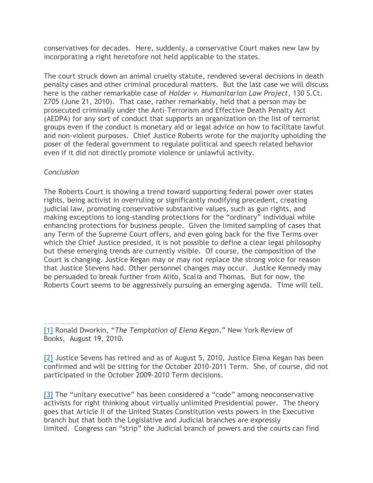conservatives for decades. Here, suddenly, a conservative Court makes new law by incorporating a right heretofore not held applicable to the states.

The court struck down an animal cruelty statute, rendered several decisions in death penalty cases and other criminal procedural matters. But the last case we will discuss here is the rather remarkable case of *Holder v. Humanitarian Law Project*, 130 S.Ct. 2705 (June 21, 2010). That case, rather remarkably, held that a person may be prosecuted criminally under the Anti-Terrorism and Effective Death Penalty Act (AEDPA) for any sort of conduct that supports an organization on the list of terrorist groups even if the conduct is monetary aid or legal advice on how to facilitate lawful and non-violent purposes. Chief Justice Roberts wrote for the majority upholding the poser of the federal government to regulate political and speech related behavior even if it did not directly promote violence or unlawful activity.

## *Conclusion*

The Roberts Court is showing a trend toward supporting federal power over states rights, being activist in overruling or significantly modifying precedent, creating judicial law, promoting conservative substantive values, such as gun rights, and making exceptions to long-standing protections for the "ordinary" individual while enhancing protections for business people. Given the limited sampling of cases that any Term of the Supreme Court offers, and even going back for the five Terms over which the Chief Justice presided, it is not possible to define a clear legal philosophy but these emerging trends are currently visible. Of course, the composition of the Court is changing. Justice Kegan may or may not replace the strong voice for reason that Justice Stevens had. Other personnel changes may occur. Justice Kennedy may be persuaded to break further from Alito, Scalia and Thomas. But for now, the Roberts Court seems to be aggressively pursuing an emerging agenda. Time will tell.

<span id="page-4-0"></span>[1] Ronald Dworkin, "*The Temptation of Elena Kegan*," New York Review of Books, August 19, 2010.

<span id="page-4-1"></span>[2] Justice Sevens has retired and as of August 5, 2010, Justice Elena Kegan has been confirmed and will be sitting for the October 2010-2011 Term. She, of course, did not participated in the October 2009-2010 Term decisions.

<span id="page-4-2"></span>[3] The "unitary executive" has been considered a "code" among neoconservative activists for right thinking about virtually unlimited Presidential power. The theory goes that Article II of the United States Constitution vests powers in the Executive branch but that both the Legislative and Judicial branches are expressly limited. Congress can "strip" the Judicial branch of powers and the courts can find